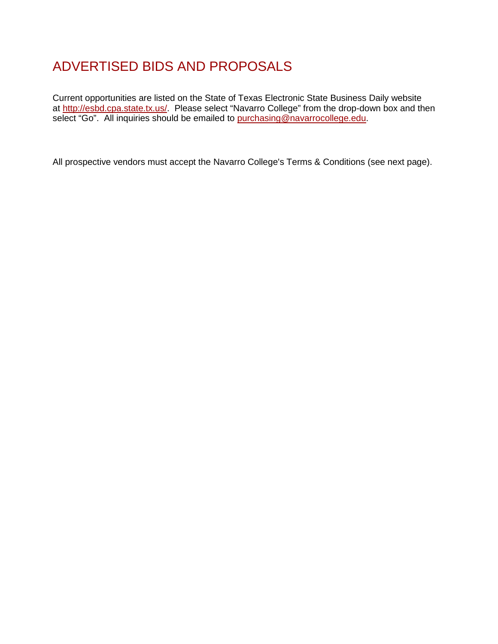# ADVERTISED BIDS AND PROPOSALS

Current opportunities are listed on the State of Texas Electronic State Business Daily website at http://esbd.cpa.state.tx.us/. Please select "Navarro College" from the drop-down box and then select "Go". All inquiries should be emailed to [purchasing@navarrocollege.edu.](mailto:purchasing@navarrocollege.edu)

All prospective vendors must accept the Navarro College's Terms & Conditions (see next page).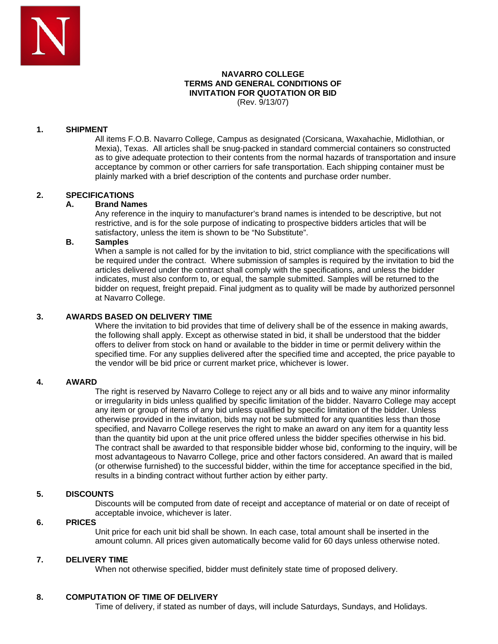

#### **NAVARRO COLLEGE TERMS AND GENERAL CONDITIONS OF INVITATION FOR QUOTATION OR BID** (Rev. 9/13/07)

#### **1. SHIPMENT**

All items F.O.B. Navarro College, Campus as designated (Corsicana, Waxahachie, Midlothian, or Mexia), Texas. All articles shall be snug-packed in standard commercial containers so constructed as to give adequate protection to their contents from the normal hazards of transportation and insure acceptance by common or other carriers for safe transportation. Each shipping container must be plainly marked with a brief description of the contents and purchase order number.

#### **2. SPECIFICATIONS**

#### **A. Brand Names**

Any reference in the inquiry to manufacturer's brand names is intended to be descriptive, but not restrictive, and is for the sole purpose of indicating to prospective bidders articles that will be satisfactory, unless the item is shown to be "No Substitute".

#### **B. Samples**

When a sample is not called for by the invitation to bid, strict compliance with the specifications will be required under the contract. Where submission of samples is required by the invitation to bid the articles delivered under the contract shall comply with the specifications, and unless the bidder indicates, must also conform to, or equal, the sample submitted. Samples will be returned to the bidder on request, freight prepaid. Final judgment as to quality will be made by authorized personnel at Navarro College.

#### **3. AWARDS BASED ON DELIVERY TIME**

Where the invitation to bid provides that time of delivery shall be of the essence in making awards, the following shall apply. Except as otherwise stated in bid, it shall be understood that the bidder offers to deliver from stock on hand or available to the bidder in time or permit delivery within the specified time. For any supplies delivered after the specified time and accepted, the price payable to the vendor will be bid price or current market price, whichever is lower.

#### **4. AWARD**

The right is reserved by Navarro College to reject any or all bids and to waive any minor informality or irregularity in bids unless qualified by specific limitation of the bidder. Navarro College may accept any item or group of items of any bid unless qualified by specific limitation of the bidder. Unless otherwise provided in the invitation, bids may not be submitted for any quantities less than those specified, and Navarro College reserves the right to make an award on any item for a quantity less than the quantity bid upon at the unit price offered unless the bidder specifies otherwise in his bid. The contract shall be awarded to that responsible bidder whose bid, conforming to the inquiry, will be most advantageous to Navarro College, price and other factors considered. An award that is mailed (or otherwise furnished) to the successful bidder, within the time for acceptance specified in the bid, results in a binding contract without further action by either party.

#### **5. DISCOUNTS**

Discounts will be computed from date of receipt and acceptance of material or on date of receipt of acceptable invoice, whichever is later.

#### **6. PRICES**

Unit price for each unit bid shall be shown. In each case, total amount shall be inserted in the amount column. All prices given automatically become valid for 60 days unless otherwise noted.

#### **7. DELIVERY TIME**

When not otherwise specified, bidder must definitely state time of proposed delivery.

## **8. COMPUTATION OF TIME OF DELIVERY**

Time of delivery, if stated as number of days, will include Saturdays, Sundays, and Holidays.